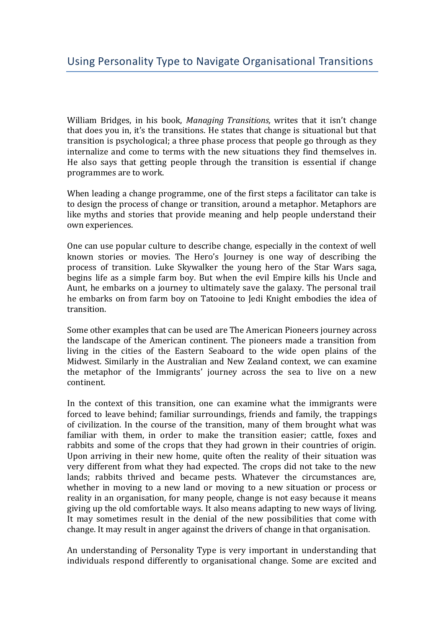William Bridges, in his book, *Managing Transitions,* writes that it isn't change that does you in, it's the transitions. He states that change is situational but that transition is psychological; a three phase process that people go through as they internalize and come to terms with the new situations they find themselves in. He also says that getting people through the transition is essential if change programmes are to work.

When leading a change programme, one of the first steps a facilitator can take is to design the process of change or transition, around a metaphor. Metaphors are like myths and stories that provide meaning and help people understand their own experiences.

One can use popular culture to describe change, especially in the context of well known stories or movies. The Hero's Journey is one way of describing the process of transition. Luke Skywalker the young hero of the Star Wars saga, begins life as a simple farm boy. But when the evil Empire kills his Uncle and Aunt, he embarks on a journey to ultimately save the galaxy. The personal trail he embarks on from farm boy on Tatooine to Jedi Knight embodies the idea of transition.

Some other examples that can be used are The American Pioneers journey across the landscape of the American continent. The pioneers made a transition from living in the cities of the Eastern Seaboard to the wide open plains of the Midwest. Similarly in the Australian and New Zealand context, we can examine the metaphor of the Immigrants' journey across the sea to live on a new continent.

In the context of this transition, one can examine what the immigrants were forced to leave behind; familiar surroundings, friends and family, the trappings of civilization. In the course of the transition, many of them brought what was familiar with them, in order to make the transition easier; cattle, foxes and rabbits and some of the crops that they had grown in their countries of origin. Upon arriving in their new home, quite often the reality of their situation was very different from what they had expected. The crops did not take to the new lands; rabbits thrived and became pests. Whatever the circumstances are, whether in moving to a new land or moving to a new situation or process or reality in an organisation, for many people, change is not easy because it means giving up the old comfortable ways. It also means adapting to new ways of living. It may sometimes result in the denial of the new possibilities that come with change. It may result in anger against the drivers of change in that organisation.

An understanding of Personality Type is very important in understanding that individuals respond differently to organisational change. Some are excited and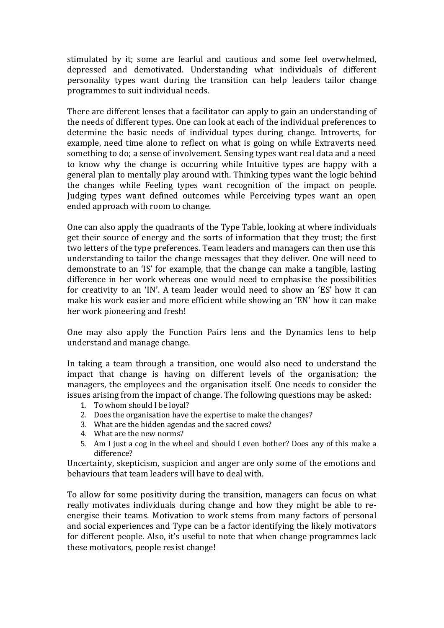stimulated by it; some are fearful and cautious and some feel overwhelmed, depressed and demotivated. Understanding what individuals of different personality types want during the transition can help leaders tailor change programmes to suit individual needs.

There are different lenses that a facilitator can apply to gain an understanding of the needs of different types. One can look at each of the individual preferences to determine the basic needs of individual types during change. Introverts, for example, need time alone to reflect on what is going on while Extraverts need something to do; a sense of involvement. Sensing types want real data and a need to know why the change is occurring while Intuitive types are happy with a general plan to mentally play around with. Thinking types want the logic behind the changes while Feeling types want recognition of the impact on people. Judging types want defined outcomes while Perceiving types want an open ended approach with room to change.

One can also apply the quadrants of the Type Table, looking at where individuals get their source of energy and the sorts of information that they trust; the first two letters of the type preferences. Team leaders and managers can then use this understanding to tailor the change messages that they deliver. One will need to demonstrate to an 'IS' for example, that the change can make a tangible, lasting difference in her work whereas one would need to emphasise the possibilities for creativity to an 'IN'. A team leader would need to show an 'ES' how it can make his work easier and more efficient while showing an 'EN' how it can make her work pioneering and fresh!

One may also apply the Function Pairs lens and the Dynamics lens to help understand and manage change.

In taking a team through a transition, one would also need to understand the impact that change is having on different levels of the organisation; the managers, the employees and the organisation itself. One needs to consider the issues arising from the impact of change. The following questions may be asked:

- 1. To whom should I be loyal?
- 2. Does the organisation have the expertise to make the changes?
- 3. What are the hidden agendas and the sacred cows?
- 4. What are the new norms?
- 5. Am I just a cog in the wheel and should I even bother? Does any of this make a difference?

Uncertainty, skepticism, suspicion and anger are only some of the emotions and behaviours that team leaders will have to deal with.

To allow for some positivity during the transition, managers can focus on what really motivates individuals during change and how they might be able to reenergise their teams. Motivation to work stems from many factors of personal and social experiences and Type can be a factor identifying the likely motivators for different people. Also, it's useful to note that when change programmes lack these motivators, people resist change!